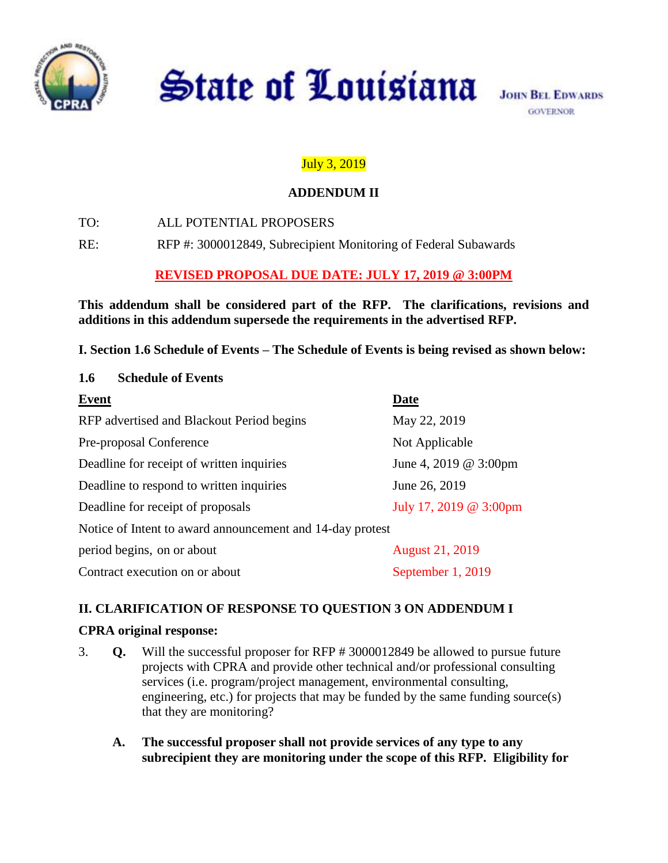

**State of Louisiana** 

# July 3, 2019

### **ADDENDUM II**

TO: ALL POTENTIAL PROPOSERS

RE: RFP #: 3000012849, Subrecipient Monitoring of Federal Subawards

## **REVISED PROPOSAL DUE DATE: JULY 17, 2019 @ 3:00PM**

**This addendum shall be considered part of the RFP. The clarifications, revisions and additions in this addendum supersede the requirements in the advertised RFP.** 

**I. Section 1.6 Schedule of Events – The Schedule of Events is being revised as shown below:**

| <b>Schedule of Events</b><br>1.6                          |                        |
|-----------------------------------------------------------|------------------------|
| <b>Event</b>                                              | Date                   |
| RFP advertised and Blackout Period begins                 | May 22, 2019           |
| Pre-proposal Conference                                   | Not Applicable         |
| Deadline for receipt of written inquiries                 | June 4, 2019 @ 3:00pm  |
| Deadline to respond to written inquiries                  | June 26, 2019          |
| Deadline for receipt of proposals                         | July 17, 2019 @ 3:00pm |
| Notice of Intent to award announcement and 14-day protest |                        |
| period begins, on or about                                | <b>August 21, 2019</b> |
| Contract execution on or about                            | September 1, 2019      |

### **II. CLARIFICATION OF RESPONSE TO QUESTION 3 ON ADDENDUM I**

### **CPRA original response:**

- 3. **Q.** Will the successful proposer for RFP # 3000012849 be allowed to pursue future projects with CPRA and provide other technical and/or professional consulting services (i.e. program/project management, environmental consulting, engineering, etc.) for projects that may be funded by the same funding source(s) that they are monitoring?
	- **A. The successful proposer shall not provide services of any type to any subrecipient they are monitoring under the scope of this RFP. Eligibility for**